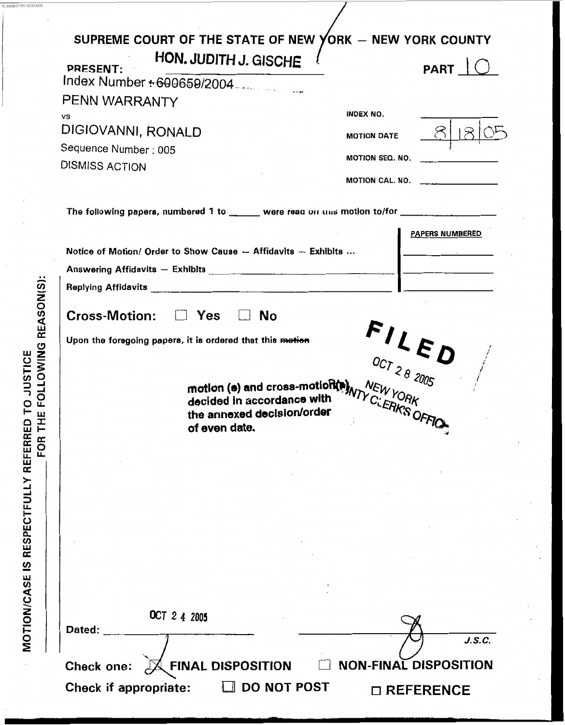| SUPREME COURT OF THE STATE OF NEW YORK - NEW YORK COUNTY<br>HON. JUDITH J. GISCHE<br><b>PRESENT:</b><br>Index Number + 600659/2004<br>PENN WARRANTY             | <b>PART</b>                                                                                                                                                                                                                                                    |
|-----------------------------------------------------------------------------------------------------------------------------------------------------------------|----------------------------------------------------------------------------------------------------------------------------------------------------------------------------------------------------------------------------------------------------------------|
| vs<br>DIGIOVANNI, RONALD<br>Sequence Number: 005<br><b>DISMISS ACTION</b>                                                                                       | <b>INDEX NO.</b><br><b>MOTION DATE</b><br><b>MOTION SEQ. NO.</b><br>MOTION CAL. NO.                                                                                                                                                                            |
| The following papers, numbered 1 to _______ were read on uns motion to/for _______________<br>Notice of Motion/ Order to Show Cause $-$ Affidavits $-$ Exhibits | <b>PAPERS NUMBERED</b><br><u> The Community of the Community of the Community of the Community of the Community of the Community of the Community of the Community of the Community of the Community of the Community of the Community of the Community of</u> |
| Cross-Motion: $\Box$ Yes $\Box$ No<br>Upon the foregoing papers, it is ordered that this motion<br>of even date.                                                | $FLLOCT 28 2005$<br>motion (a) and cross-motion(a) $NTV$ $C \rightarrow A \rightarrow A$ in accordance with                                                                                                                                                    |
| OCT 2 4 2005<br>Dated:                                                                                                                                          | J.S.C.                                                                                                                                                                                                                                                         |
| <b>FINAL DISPOSITION</b><br>Check one:<br>Check if appropriate:<br><b>DO NOT POST</b>                                                                           | <b>NON-FINAL DISPOSITION</b><br>$\Box$ REFERENCE                                                                                                                                                                                                               |

MOTION/CASE IS RESPECTFULLY REFERRED TO JUSTICE<br>
FOR THE FOLLOWING REASON(S):

SCANNED ON 1012812005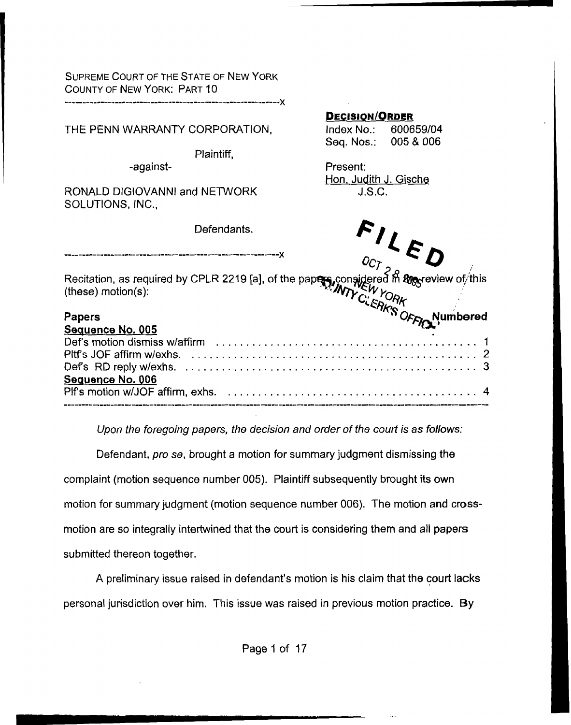SUPREME COURT OF THE **STATE** OF **NEW** YORK COUNTY OF NEW YORK: PART 10

**X** *\_\_c\_\_\_\_\_\_-\_--\_\_\_-\_\_-\_\_\_\_\_\_\_\_\_I\_\_\_\_\_\_\_\_\_\_------------------\_-* 

|                                                                                                                                           |            | <b>DECISION/ORDER</b>        |                      |  |
|-------------------------------------------------------------------------------------------------------------------------------------------|------------|------------------------------|----------------------|--|
| THE PENN WARRANTY CORPORATION,                                                                                                            |            |                              | Index No.: 600659/04 |  |
|                                                                                                                                           |            |                              | Seq. Nos.: 005 & 006 |  |
|                                                                                                                                           | Plaintiff, |                              |                      |  |
| -against-                                                                                                                                 |            | Present:                     |                      |  |
|                                                                                                                                           |            | <u>Hon, Judith J. Gische</u> |                      |  |
|                                                                                                                                           |            |                              |                      |  |
|                                                                                                                                           |            |                              |                      |  |
|                                                                                                                                           |            |                              |                      |  |
|                                                                                                                                           |            |                              |                      |  |
| <u> Sequence No. 006</u><br>,955L-qyyk_-P28k-qy2L-428k-qy2L--22k-qy22k-qyfin-y22k-22f--y22k-42fH--y2f+99dBL-qyfik-422k-ydfir-y92f-xfB2k-q |            |                              |                      |  |
|                                                                                                                                           |            |                              |                      |  |

*Upon the foregoing papers, the decision and order of the court is as follows:* 

Defendant, *pro* **se,** brought a motion for summary judgment dismissing the complaint (motion sequence number 005). Plaintiff subsequently brought **its** own motion for summary judgment (motion sequence number 006). The motion **and cross**motion are so integrally intertwined that the court is considering them and all papers submitted thereon together.

**A** preliminary issue raised in defendant's motion is **his** claim that the court **lacks**  personal jurisdiction over him. This issue was raised in previous motion practice. By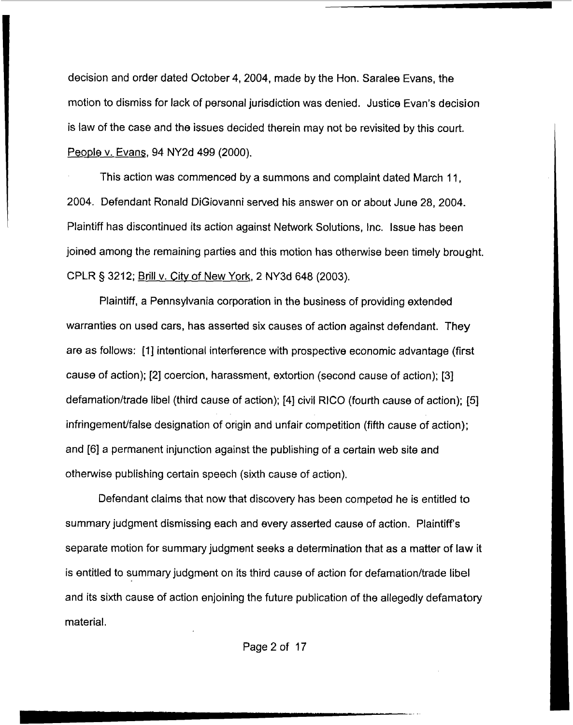decision and order dated October 4,2004, made by the Hon. Saralee Evans, the motion to dismiss for lack of personal jurisdiction was denied. Justice Evan's decision is law of the case and the issues decided therein may not be revisited by this court. People v. Evans, 94 NY2d 499 (2000).

This action was commenced by a summons and complaint dated March 11, 2004. Defendant Ronald DiGiovanni served his answer on or about June 28,2004. Plaintiff has discontinued its action against Network Solutions, Inc. Issue has been joined among the remaining parties and this motion has otherwise been timely brought. CPLR 5 3212; Brill v. City of New YorK, 2 **NY3d** 648 (2003).

Plaintiff, a Pennsylvania corporation in the business of providing extended warranties on used cars, has asserted six causes of action against defendant. They are as follows: [l] intentional interference with prospective economic advantage (first cause of action); **[2]** coercion, harassment, extortion (second cause of action); [3] defamation/trade libel (third cause of action); [4] civil RICO (fourth cause of action); [5] infringement/false designation of origin and unfair competition (fifth cause of action); and **[6]** a permanent injunction against the publishing of a certain web site and otherwise publishing certain speech (sixth cause of action).

Defendant claims that now that discovery has been competed he is entitled to summary judgment dismissing each and every asserted cause of action. Plaintiffs separate motion for summary judgment seeks a determination that as a matter of law it is entitled to summary judgment on its third cause of action for defamation/trade libel and its sixth cause of action enjoining the future publication of the allegedly defamatory material.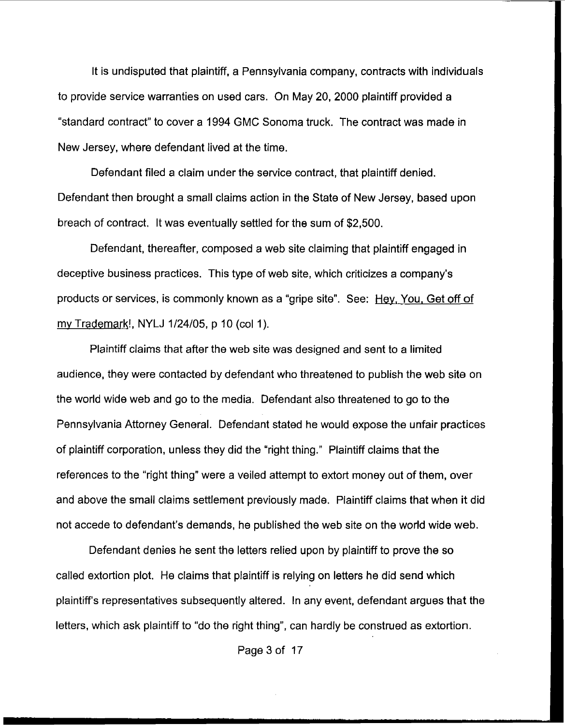It is undisputed that plaintiff, a Pennsylvania company, contracts with individuals to provide service warranties on used cars. On May 20, 2000 plaintiff provided a "standard contract" to cover a 1994 GMC Sonoma truck. The contract was made in New Jersey, where defendant lived at the time.

Defendant filed a claim under the service contract, that plaintiff denied. Defendant then brought a small claims action in the State of New Jersey, based upon breach of contract. It was eventually settled for the sum of \$2,500.

Defendant, thereafter, composed a web site claiming that plaintiff engaged in deceptive business practices. This type of web site, which criticizes a company's products or services, is commonly known as a "gripe site". See: Hey. You, Get off of my Trademark!, NYLJ 1/24/05, p 10 (col 1).

Plaintiff claims that after the web site was designed and sent to a limited audience, they were contacted by defendant who threatened to publish the web site on the world wide web and go to the media. Defendant also threatened to go to the Pennsylvania Attorney General. Defendant stated he would expose the unfair practices of plaintiff corporation, unless they did the "right thing.'' Plaintiff claims that the references to the "right thing" were a veiled attempt to extort money out of them, over and above the small claims settlement previously made. Plaintiff claims that when it did not accede to defendant's demands, he published the web site on the world wide **web.** 

Defendant denies he sent the letters relied upon by plaintiff to prove the **so**  called extortion plot. He claims that plaintiff **is** relying on letters he did send which plaintiffs representatives subsequently altered. In any event, defendant argues that the letters, which ask plaintiff to "do the right thing", can hardly be construed **as** extortion.

Page **3** of 17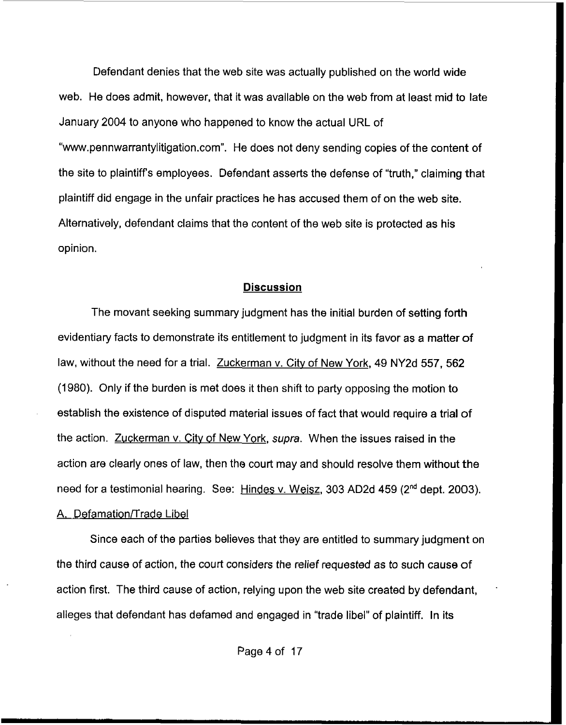Defendant denies that the web site was actually published on the world wide web. He **does** admit, however, that it was avallable on the web from at least mid to late January 2004 to anyone who happened to know the actual URL of "www.pennwarrantylitigation.com". He does not deny sending copies of the content of the site to plaintiffs employees. Defendant **asserts** the defense of "truth," claiming that plaintiff did engage in the unfair practices he has accused them of on the web site. Alternatively, defendant claims that the content of the web site **is** protected as his opinion.

### **Discussion**

The movant seeking summary judgment has the initial burden of setting forth evidentiary facts to demonstrate its entitlement to judgment in its favor **as** a matter of law, without the need for a trial. Zuckerman v. City of New York, 49 NY2d 557, 562 (1980). Only if the burden is met does it then shift to party opposing the motion **to**  establish the existence of disputed material issues of fact that would require a trial of the action. Zuckerman v. Citv of New York, *supra.* When the issues raised in the action are clearly ones of law, then the court may and should resolve them without the need for a testimonial hearing. See: Hindes v. We **isz,** 303 AD2d 459 (2nd dept. 2003). A. **Defamation/Trade Libel** 

Since each of the parties believes that they are entitled to summary judgment on the third cause of action, the courl considers the relief requested **as** to such cause of action first. The third cause of action, relying upon the web site created by defendant, alleges that defendant has defamed and engaged in "trade libel" of plaintiff. In its

'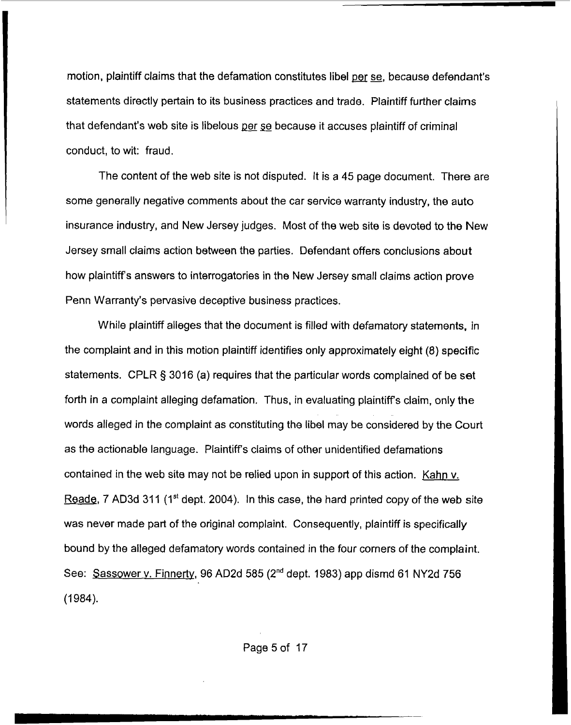motion, plaintiff claims that the defamation constitutes libel per se, because defendant's statements directly pertain to its business practices and trade. Plaintiff further claims that defendant's web site is libelous ger **se** because it accuses plaintiff of criminal conduct, to wit: fraud.

The content of the web site is not disputed. It is a 45 page document. There are some generally negative comments about the car service warranty industry, the auto insurance industry, and New Jersey judges. Most of the web site is devoted to the New Jersey small claims action between the parties. Defendant offers conclusions about how plaintiffs answers to interrogatories in the New Jersey small claims action prove Penn Warranty's pervasive deceptive business practices.

While plaintiff alleges that the document is filled with defamatory statements, In the complaint and in this motion plaintiff identifies only approximately eight (8) specific statements. **CPLR** *5* 3016 (a) requires that the particular words complained of be set forth in a complaint alleging defamation. Thus, in evaluating plaintiff's claim, only the words alleged in the complaint as constituting the libel may be considered **by** the Court as the actionable language. Plaintiffs claims of other unidentified defamations contained in the web site may not be relied upon in support of this action. Kahn v. Reade, 7 AD3d 311 (1<sup>st</sup> dept. 2004). In this case, the hard printed copy of the web site was never made part of the original complaint. Consequently, plaintiff is specifically bound by the alleged defamatory words contained in the four corners of the complaint. See: Sassower **y.** Finnertv, 96 **AD2d** 585 **(2"d** dept. 1983) app dismd 61 NY2d 756  $(1984).$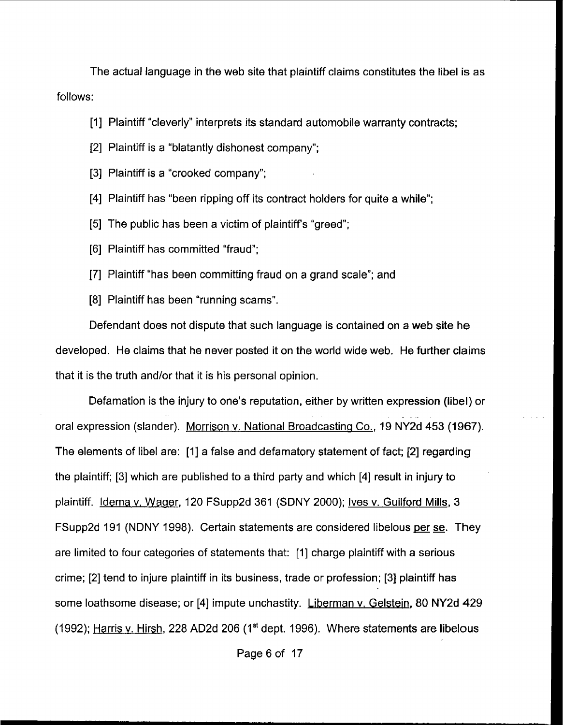The actual language in the web site that plaintiff claims constitutes the libel is as follows:

[l] Plaintiff "cleverly" interprets its standard automobile warranty contracts;

- [2] Plaintiff is a "blatantly dishonest company";
- [3] Plaintiff is a "crooked company":
- [4] Plaintiff has "been ripping off its contract holders for quite a while";
- [5] The public has been a victim of plaintiff's "greed";
- [6] Plaintiff has committed "fraud";
- [7] Plaintiff "has been committing fraud on a grand scale"; and
- [8] Plaintiff has been "running scams".

Defendant does not dispute that such language is contained on a web site he developed. He claims that he never posted it on the world wide web. **He further** claims that it is the truth and/or that it is his personal opinion.

Defamation **is** the injury to one's reputation, either by written expression (libel) or oral expression (slander). Morrison v. National Broadcasting Co., 19 NY2d 453 (1967). The elements of libel are: [I] a false and defamatory statement of fact; [2] regarding the plaintiff; [3] which are published to a third party and which [4] result in injury to plaintiff. Idema v. Wager, 120 FSupp2d 361 (SDNY 2000); Ives v. Guilford Mills, 3 FSupp2d 191 (NDNY 1998). Certain statements are considered libelous per se. They are limited to four categories of statements that: [I] charge plaintiff with a serious crime; [2] tend to injure plaintiff in its business, trade or profession; [3] plaintiff **has**  .. some loathsome disease; or [4] impute unchastity. Liberman v. Gelstein, 80 NY2d 429 (1992); Harris v. Hirsh, 228 **AD2d** <sup>206</sup>**(Ist** dept. 1996). Where statements are libelous

Page 6 of 17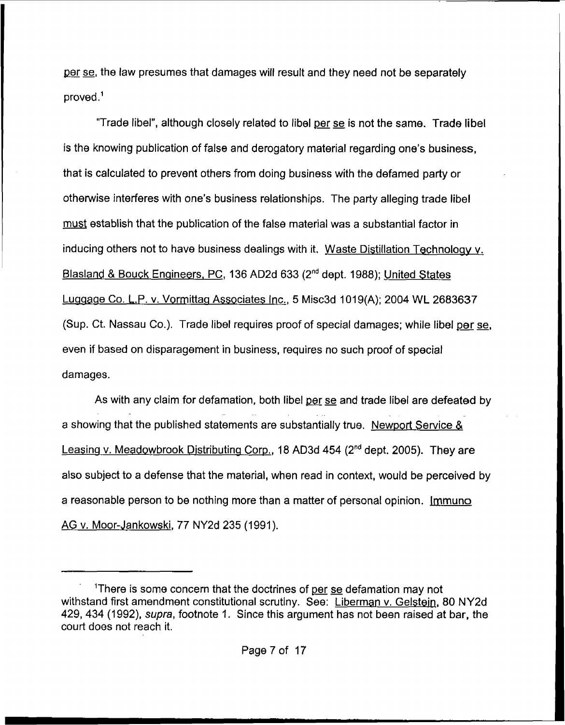per se, the law presumes that damages will result and they need not be separately proved .'

"Trade libel", although closely related to libel per se is not the same. Trade libel **is** the knowing publication of false and derogatory material regarding one's business, that is calculated to prevent others from doing business with the defamed party or otherwise interferes with one's business relationships. The party alleging trade libel must establish that the publication of the false material was a substantial factor in inducing others not to have business dealings with it. Waste Distillation Technology y. **Blasland** & Bouck Enaineers, PC, 136 AD2d 633 **(2nd** dept. 1988); united States Luggage Co. L,P. v. Vormittag Associates Inc., 5 Misc3d 1019(A); 2004 WL 2683637 (Sup. Ct. Nassau Co.). Trade libel requires proof of special damages; while libel per se, even if based on disparagement in business, requires no such proof of special damages.

**As** with any claim for defamation, both libel per se and trade libel are defeated by a showing that the published statements are substantially true. Newport Service & Leasinq v. Meadowbrook Distributinq Gorp., 18 AD3d **454 (2nd** dept. 2005). They are **also** subject to a defense that the material, when read in context, would be perceived by a reasonable person to be nothing more than a matter of personal opinion. Jmmuno **AG v.** Mosr-.lankowski, 77 NY2d 235 (1991).

<sup>&#</sup>x27; 'There is some concern that the doctrines of per *se* defamation may not withstand first amendment constitutional scrutiny. See: Liberman v. Gelstein, 80 NY2d<br>429, 434 (1992), *supra*, footnote 1. Since this argument has not been raised at bar, the court does not reach it.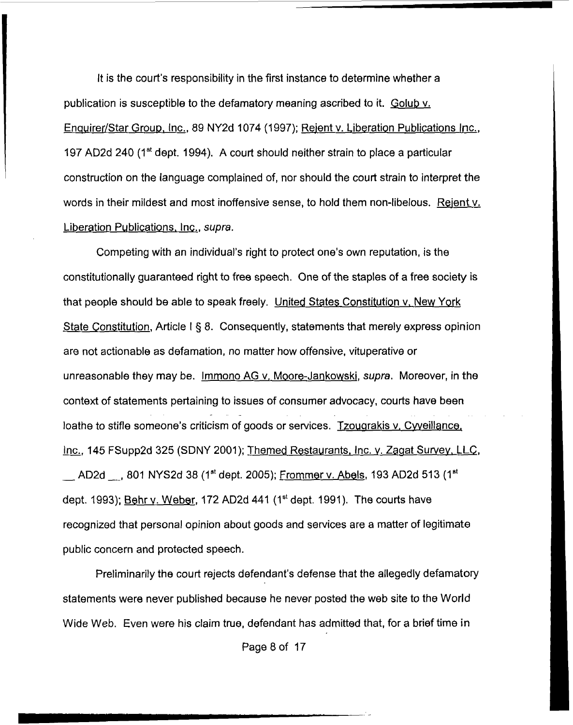It is the court's responsibility in the first instance to determine whether a publication is susceptible to the defamatory meaning ascribed to it. Golub v. Enquirer/Star Group, Inc., 89 NY2d 1074 (1997); Rejent v. Liberation Publications Inc., 197 AD2d 240 (I" dept. 1994). A court should neither strain to place a particular construction on the language complained of, nor should the court strain to interpret the words in their mildest and most inoffensive sense, to hold them non-libelous. Rejent v. Liberation Publications, Inc., *supra.* 

Competing with an individual's right to protect one's own reputation, is the constitutionally guaranteed right to free speech. One of the staples of a **free** society is that people should be able to speak freely. United States Constitution v, New York State Constitution, Article I § 8. Consequently, statements that merely express opinion are not actionable **as** defamation, no matter how offensive, vituperative or unreasonable they may be. Imrnono **AG** v. Moore-Jankowski, *supra.* Moreover, in the context of statements pertaining to issues of consumer advocacy, courts have been loathe to stifle someone's criticism of goods or services. <u>Tzougrakis v. Cyveillance,</u> Lontext of statements pertaining to issues of consumer advocacy, courts have been<br>loathe to stifle someone's criticism of goods or services. Tzougrakis v. Cyveillance,<br>lnc., 145 FSupp2d 325 (SDNY 2001); Themed Restaurants, <u>inc.</u>, 145 FSupp2d 325 (SDNY 2001); <u>Themed Restaurants, Inc. v. Zagat Survey, LLC, <br>\_\_ AD2d \_<sub>\_</sub> , 801 NYS2d 38 (1<sup>st</sup> dept. 2005); <u>Frommer v. Abels</u>, 193 AD2d 513 (1<sup>st</sup></u> dept. 1993); Behr v. Weber, 172 **AD2d** 441 (1'' dept. 1991). The courts have recognized that personal opinion about goods and services are a matter of legitimate public concern and protected speech.

Preliminarily the court rejects defendant's defense that the allegedly defamatory statements were never published because he never posted the web site to the World Wide Web. Even were his claim true, defendant has admitted that, for a brief time in

Page 8 of 17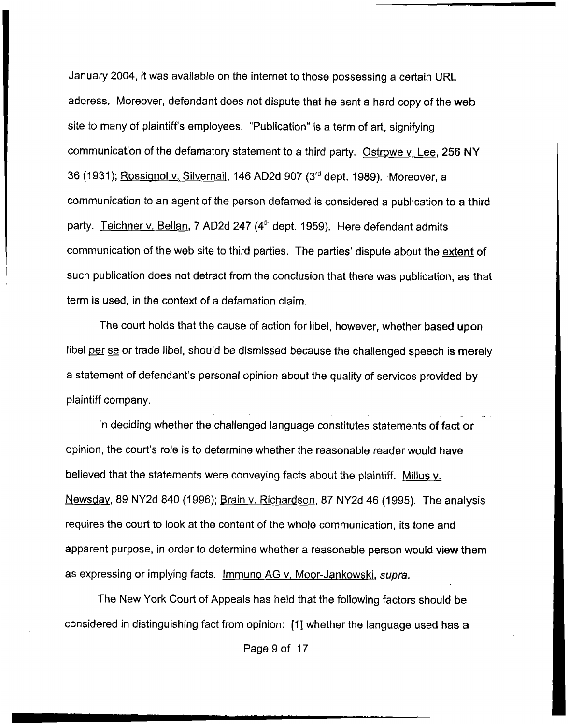January 2004, it was available on the internet to those possessing a certain URL address. Moreover, defendant does not dispute that he sent a hard copy of the **web**  site to many of plaintiffs employees. "Publication" is a term of art, signifying communication of the defamatory statement to a third party. Ostrowe y. Lee, 256 NY 36 (1931); RQssianol v, Silvernail, **146** AD2d 907 **(3rd** dept. 1989). Moreover, a communication to an agent of the person defamed is considered a publication to a third party. Teichner v. Bellan, 7 AD2d 247 (4<sup>th</sup> dept. 1959). Here defendant admits communication of the web site to third parties. The parties' dispute about the extent of such publication does not detract from the conclusion that there was publication, **as** that term is used, in the context of a defamation claim.

The court holds that the cause of action for libel, however, whether based **upon**  libel per se or trade libel, should be dismissed because the challenged speech **is** merely a statement of defendant's personal opinion about the quality of services provided by plaintiff company.

In deciding whether the challenged language constitutes statements *of* fact or opinion, the court's role is to determine whether the reasonable reader would **have**  believed that the statements were conveying facts about the plaintiff. Millus y. Newsday, 89 NY2d 840 (1996); Brain v. Richardson, 87 NY2d 46 (1995). The analysis requires the court to look at the content of the whole communication, its tone and apparent purpose, in order to determine whether a reasonable person would view them as expressing or implying facts. Immuno AG v, Moor-Jankowski, *supra.* 

The New York Court of Appeals has held that the following factors should be considered in distinguishing fact from opinion: [l] whether the language used **has** <sup>a</sup>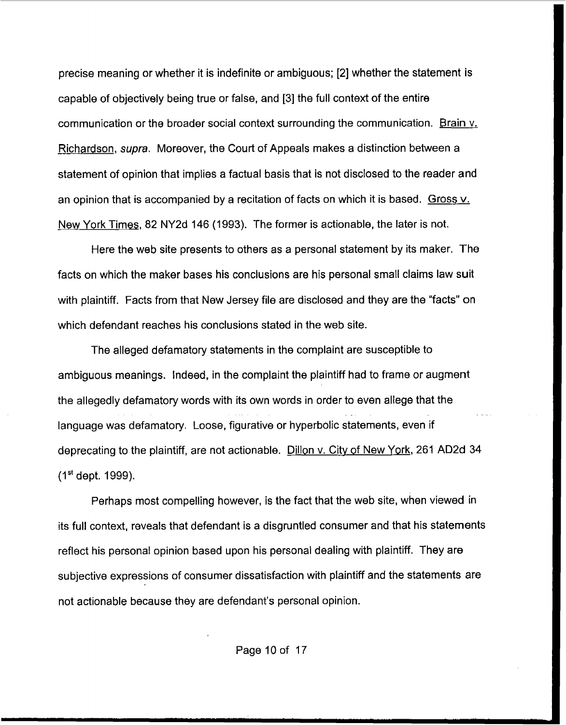precise meaning or whether it is indefinite or ambiguous; **[2]** whether the statement **is**  capable of objectively being true or false, and **[3]** the full context of the entire communication or the broader social context surrounding the communication. Brain  $v<sub>r</sub>$ Richardson, *supra.* Moreover, the Court of Appeals makes a distinction between a statement of opinion that implies a factual basis that **is** not disclosed to the reader and an opinion that is accompanied by a recitation of facts on which it is based. Gross v. New York Times, 82 NY2d 146 (1993). The former is actionable, the later is not.

Here the web site presents to others as a personal statement by its maker. The facts on which the maker bases his conclusions are his personal small claims law suit with plaintiff. Facts from that New Jersey file are disclosed and they are the "facts" **on**  which defendant reaches his conclusions stated in the web site.

The alleged defamatory statements in the complaint are susceptible to ambiguous meanings. Indeed, in the complaint the plaintiff had to frame or augment the allegedly defamatory words with its own words in order to even allege that the language was defamatory. Loose, figurative or hyperbolic statements, even if deprecating to the plaintiff, are not actionable. Dillon v. City of New York, 261 **AD2d** 34 **(Ist** dept. 1999). ..

Perhaps most compelling however, is the fact that the web site, when viewed in its full context, reveals that defendant is a disgruntled consumer and that his statements reflect his personal opinion based upon his personal dealing with plaintiff. They are subjective expressions of consumer dissatisfaction with plaintiff and the statements are not actionable because they are defendant's personal opinion.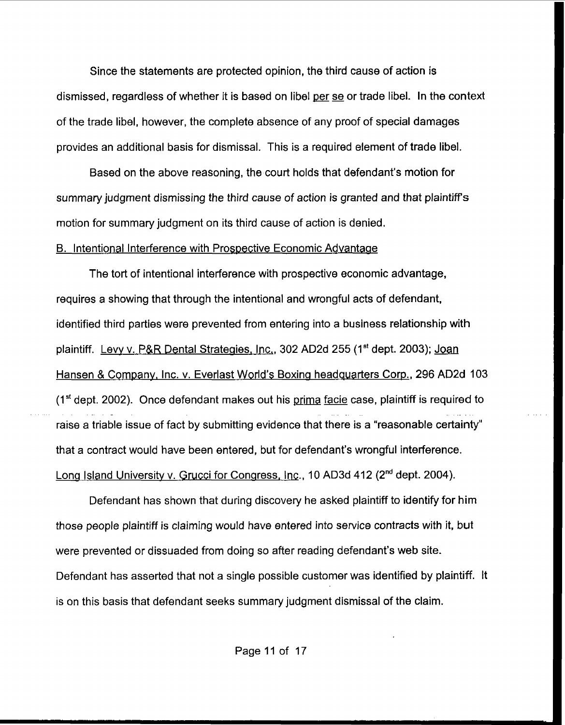Since the statements are protected opinion, the third cause of action is dismissed, regardless of whether it is based on libel per **se** or trade libel. In the context of the trade libel, however, the complete absence of any proof of special damages provides an additional basis for dismissal. This is a required element of trade libel.

Based on the above reasoning, the court holds that defendant's motion for summary judgment dismissing *the* third cause *of* action is granted and that plaintiffs motion for summary judgment on its third cause of action is denied.

## B. Intentional Interference with Prospective Economic Advantage

The tort of intentional interference with prospective economic advantage, requires a showing that through the intentional and wrongful acts of defendant, identified third parties were prevented from entering into a business relationship with plaintiff. Levy v. P&R Dental Strategies, Inc., 302 AD2d 255 (1<sup>st</sup> dept. 2003); Joan Hansen & Company, Inc. v. Everlast World's Boxing headquarters Corp., 296 AD2d 103 (1<sup>st</sup> dept. 2002). Once defendant makes out his prima facie case, plaintiff is required to raise a triable issue of fact by submitting evidence that there is a "reasonable certainty'' that a contract would have been entered, but for defendant's wrongful interference. Long Island University v. Grucci for Congress, Inc., 10 AD3d 412 (2<sup>nd</sup> dept. 2004).

Defendant has shown that during discovery he asked plaintiff to identify for him those people plaintiff is claiming would have entered into service contracts with it, but were prevented or dissuaded from doing **so** after reading defendant's **web** site. Defendant has asserted that not a single possible customer was identified by plaintiff. It is on this basis that defendant seeks summary judgment dlsmissal of the claim.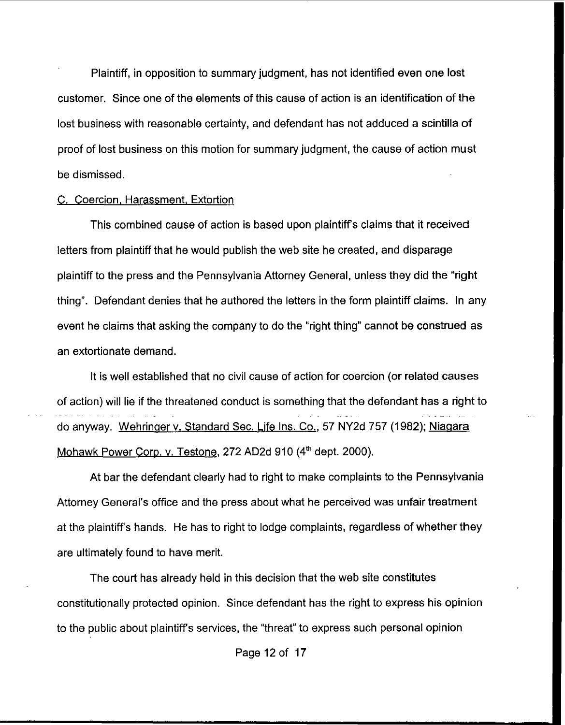Plaintiff, in opposition to summary judgment, has not identified even one **lost**  customer. Since one of the elements of this cause of action is an identification of the lost business with reasonable certainty, and defendant has not adduced a scintilla of proof of lost business on this motion for summary judgment, the cause of action **must**  be dismissed.

### **C. Coercion, Harassment, Extortion**

This combined cause of action is based upon plaintiffs claims that it received letters from plaintiff that he would publish the web site he created, and disparage plaintiff to the press and the Pennsylvania Attorney General, unless they did the "right thing". Defendant denies that he authored the letters in the form plaintiff claims. In any event he claims that asking the company to do the "right thing" cannot be construed as an extortionate demand.

It Is well established that no civil cause of action for coercion (or related causes of action) will lie if the threatened conduct is something that the defendant has a right to .\_ do anyway. Wehringer v. Standard Sec. Life Ins. Co., 57 NY2d 757 (1982); Niagara Mohawk Power Corp. v. Testone, 272 AD2d 910 (4<sup>th</sup> dept. 2000).

At bar the defendant clearly had to right to make complaints to the Pennsylvania Attorney General's office and the press about what he perceived was unfair treatment at the plaintiffs hands. He has to right to lodge complaints, regardless of whether they are ultimately found to have merit.

The court has already held in this decision that the web site constitutes constitutionally protected opinion. Since defendant has the right to express his opinion to the public about plaintiffs services, the "threat" to express such personal opinion

Page 12 of 17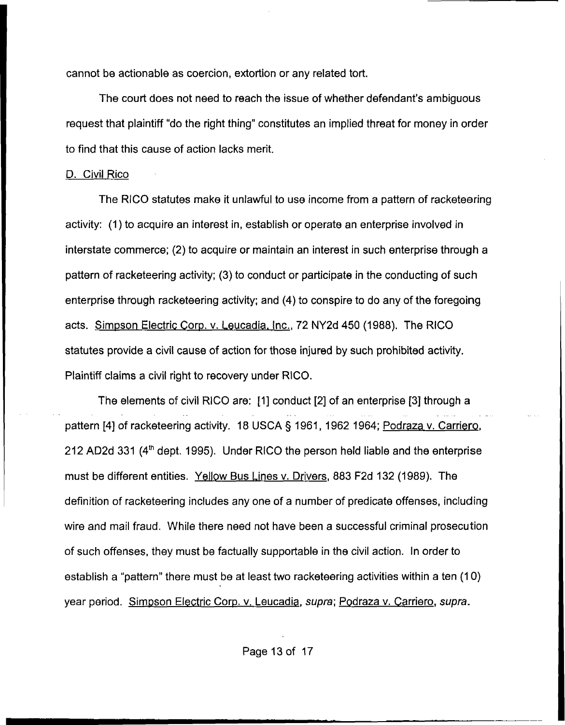cannot be actionable as coercion, extortion or any related tort.

The court does not need to reach the issue *of* whether defendant's ambiguous request that plaintiff "do the right thing" constitutes an implied threat for money in order to find that this cause of action lacks merit.

## D. Civil Rico

The RlCO statutes make it unlawful to use income from a pattern of racketeering activity: (1) to acquire an interest in, establish or operate an enterprise involved in interstate commerce; (2) to acquire or maintain an interest in such enterprise through a pattern of racketeering activity; (3) to conduct or participate in the conducting of such enterprise through racketeering activity; and **(4)** to conspire to do any of the foregoing acts. Simpson Electric Corp. v. Leucadia. Inc., 72 **NY2d** 450 (1988). The RICO statutes provide a civil cause of action for those injured by such prohibited activity. Plaintiff claims a civil right to recovery under RICO.

The elements of civil RlCO are: [I] conduct [2] *of* an enterprise **[3]** through a .. pattern **[4]** of racketeering activity. I8 **USCA 5** 1961, I962 1964; Podraza v. Carriero, 212 AD2d 331 **(4'h** dept. 1995). Under RlCO the person held liable and the enterprise must be different entities. Yellow Bus Lines v. Drivers, 883 F2d 132 (1989). The definition of racketeering includes any one of a number of predicate offenses, including wire and mail fraud. While there need not have been a successful criminal prosecution *of* such offenses, they must be factually supportable in the civil action. In order to establish a "pattern" there must be at least two racketeering activities within a ten (10) year period. Simsson Electric Corp. v. Leucadia, *supra;* Podraza v. Carriero, *supra.*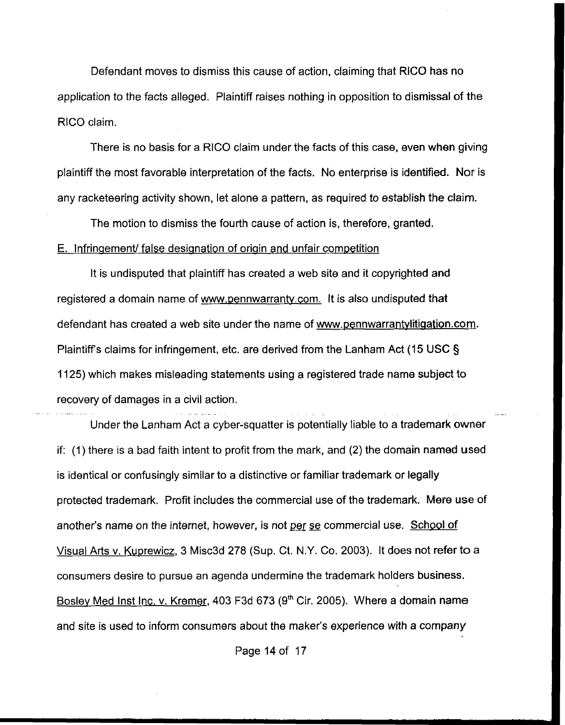Defendant moves to dismiss this cause of action, claiming that RlCO **has** no application to the facts alleged. Plaintiff raises nothing in opposition to dismissal of the RlCO claim.

There is no basis for a RlCO claim under the facts of this case, even when giving plaintiff the most favorable interpretation of the facts. No enterprise is identified. Nor is any racketeering activity shown, let alone a pattern, as required *to* establish the claim.

The motion to dismiss the fourth cause of action is, therefore, granted. E. Infringement false designation of origin and unfair competition

It is undisputed that plaintiff has created a web site and it copyrighted and registered a domain name of www.pennwarranty.com. It is also undisputed that defendant has created a web site under the name of www.pennwarrantylitigation.com. Plaintiff's claims for infringement, etc. are derived from the Lanham Act (15 USC § 1125) which makes misleading statements using a registered trade name subject to recovery of damages in a civil action.

-

Under the Lanham Act a cyber-squatter is potentially liable to a trademark owner if: (1) there is a bad faith intent to profit from the mark, and **(2)** the domain named used is identical or confusingly similar to a distinctive or familiar trademark or **legally**  protected trademark. Profit includes the commercial use of the trademark. Mere **use** of another's name on the internet, however, is not <u>per se</u> commercial use. School of Visual Arts v. Kuprewicz, 3 Misc3d 278 (Sup. Ct. N.Y. Co. 2003). It does not refer to a consumers desire to pursue an agenda undermine the trademark holders business. Bosley Med Inst Inc. v. Kremer, 403 F3d 673 (9<sup>th</sup> Cir. 2005). Where a domain name and site **is** used to inform consumers about the maker's experience with *a* **company** 

Page 14of **17**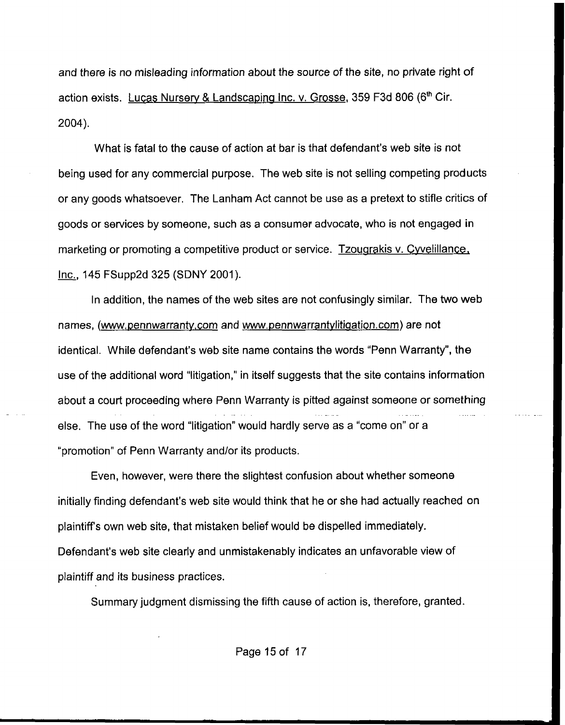and there is no misleading information about the source of the site, no private right of action exists. Lucas Nursery & Landscaping Inc. v. Grosse, 359 F3d 806 (6<sup>th</sup> Cir. 2004).

What **is** fatal to the cause of action at bar **is** that defendant's web site **is** not being used for any commercial purpose. The web site is not selling competing products or any **goods** whatsoever. The Lanham Act cannot be use as a pretext to stifle critics of goods or services by someone, such as a consumer advocate, who is not engaged in marketing or promoting a competitive product or service. Tzougrakis v. Cyvelillance, **-1** Inc 145 FSupp2d 325 (SDNY 2001).

In addition, the names of the web sites are not confusingly similar. The **two web**  names, (www.pennwarranty.com and www.pennwarrantylitigation.com) are not identical. While defendant's web site name contains the words "Penn Warranty", the use of the additional word "litigation," in itself suggests that the site contains information about a court proceeding where Penn Warranty is pitted against someone or something else. The use of the word "litigation" would hardly serve as a "come on" or a "promotion" of Penn Warranty and/or its products.

Even, however, were there the slightest confusion about whether someone initially finding defendant's web site would think that he or she had actually reached on plaintiffs own web site, that mistaken belief would be dispelled immediately. Defendant's web site clearly and unmistakenably indicates an unfavorable view of plaintiff and its business practices.

Summary judgment dismissing the fifth cause of action is, therefore, granted.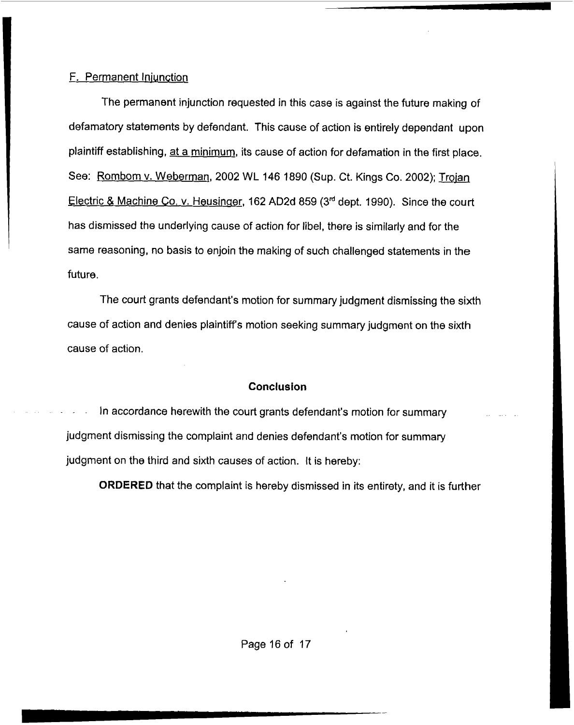# F. Permanent Iniunction

The permanent injunction requested in this case is against the future making of defamatory statements **by** defendant. This cause of action is entirely dependant upon plaintiff establishing, at a minimum, its cause of action for defamation in the first place. See: Rombom v. Weberman, 2002 WL 146 1890 (Sup. Ct. Kings Co. 2002); Troian Electric & Machine Co. v. Heusinger, 162 AD2d 859 (3<sup>rd</sup> dept. 1990). Since the court has dismissed the underlying cause of action for libel, there **is** similarly and for the same reasoning, no basis to enjoin the making of such challenged statements in the future.

The court grants defendant's motion for summary judgment dismissing the sixth cause of action and denies plaintiffs motion seeking summary judgment on the sixth cause of action.

#### **Conclusion**

In accordance herewith the court grants defendant's motion for summary judgment dismissing the complaint and denies defendant's motion for summary judgment on the third and sixth causes of action. It is hereby:

**ORDERED** that the complaint is hereby dismissed in its entirety, and it **is** further

Page 16 of 17